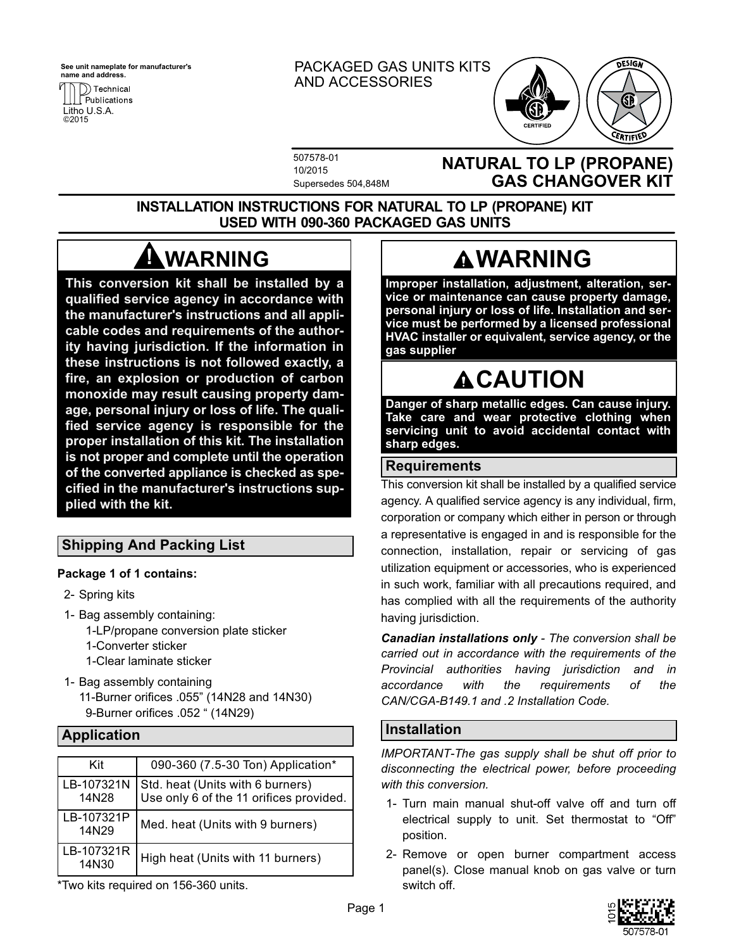**See unit nameplate for manufacturer's name and address.**

D Technical<br>Publications Litho U.S.A. 2015

### PACKAGED GAS UNITS KITS AND ACCESSORIES

507578-01 10/2015 Supersedes 504,848M

## ERTIFIED **NATURAL TO LP (PROPANE) GAS CHANGOVER KIT**

**DESIGN** 

Œ

## **INSTALLATION INSTRUCTIONS FOR NATURAL TO LP (PROPANE) KIT USED WITH 090-360 PACKAGED GAS UNITS**

### **WARNING !**

**This conversion kit shall be installed by a qualified service agency in accordance with the manufacturer's instructions and all applicable codes and requirements of the authority having jurisdiction. If the information in these instructions is not followed exactly, a fire, an explosion or production of carbon monoxide may result causing property damage, personal injury or loss of life. The qualified service agency is responsible for the proper installation of this kit. The installation is not proper and complete until the operation of the converted appliance is checked as specified in the manufacturer's instructions supplied with the kit.**

## **Shipping And Packing List**

## **Package 1 of 1 contains:**

- 2- Spring kits
- 1- Bag assembly containing:
	- 1-LP/propane conversion plate sticker
	- 1-Converter sticker
	- 1-Clear laminate sticker
- 1- Bag assembly containing 11-Burner orifices .055" (14N28 and 14N30) 9-Burner orifices .052 " (14N29)

## **Application**

| Kit                   | 090-360 (7.5-30 Ton) Application*                                           |
|-----------------------|-----------------------------------------------------------------------------|
| l LB-107321N<br>14N28 | Std. heat (Units with 6 burners)<br>Use only 6 of the 11 orifices provided. |
| l LB-107321P<br>14N29 | Med. heat (Units with 9 burners)                                            |
| LB-107321R<br>14N30   | High heat (Units with 11 burners)                                           |

\*Two kits required on 156-360 units.

## **WARNING**

**Improper installation, adjustment, alteration, service or maintenance can cause property damage, personal injury or loss of life. Installation and service must be performed by a licensed professional HVAC installer or equivalent, service agency, or the gas supplier**

# **CAUTION**

**Danger of sharp metallic edges. Can cause injury. Take care and wear protective clothing when servicing unit to avoid accidental contact with sharp edges.**

## **Requirements**

This conversion kit shall be installed by a qualified service agency. A qualified service agency is any individual, firm, corporation or company which either in person or through a representative is engaged in and is responsible for the connection, installation, repair or servicing of gas utilization equipment or accessories, who is experienced in such work, familiar with all precautions required, and has complied with all the requirements of the authority having jurisdiction.

*Canadian installations only - The conversion shall be carried out in accordance with the requirements of the Provincial authorities having jurisdiction and in accordance with the requirements of the CAN/CGA-B149.1 and .2 Installation Code.*

## **Installation**

*IMPORTANT-The gas supply shall be shut off prior to disconnecting the electrical power, before proceeding with this conversion.*

- 1- Turn main manual shut-off valve off and turn off electrical supply to unit. Set thermostat to "Off" position.
- 2- Remove or open burner compartment access panel(s). Close manual knob on gas valve or turn switch off.

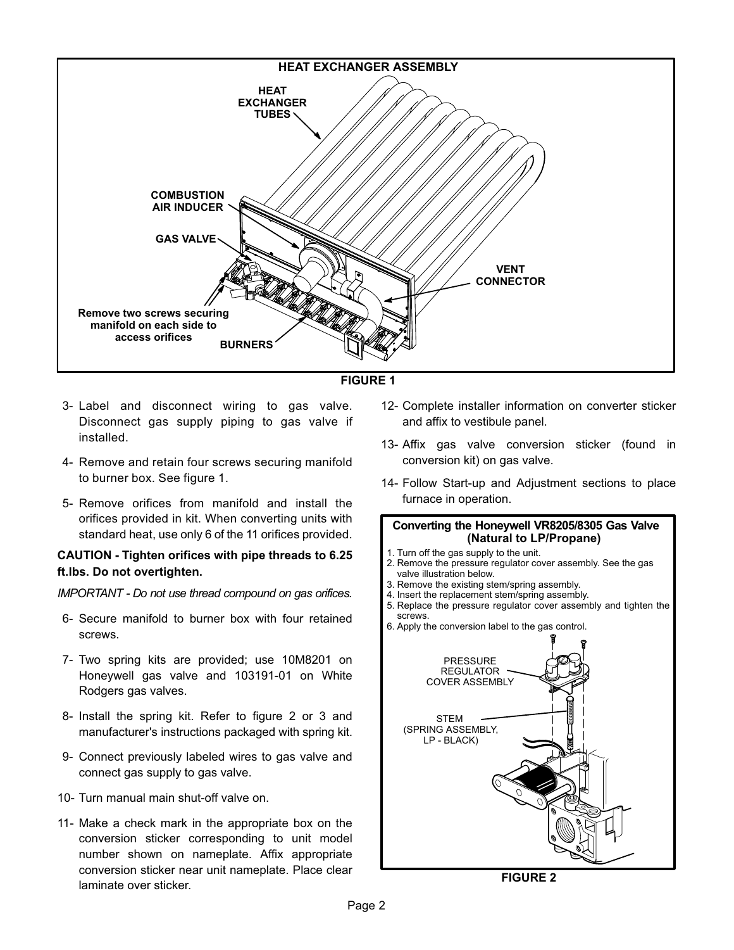



- 3- Label and disconnect wiring to gas valve. Disconnect gas supply piping to gas valve if installed.
- 4- Remove and retain four screws securing manifold to burner box. See figure 1.
- 5- Remove orifices from manifold and install the orifices provided in kit. When converting units with standard heat, use only 6 of the 11 orifices provided.

### **CAUTION - Tighten orifices with pipe threads to 6.25 ft.lbs. Do not overtighten.**

*IMPORTANT - Do not use thread compound on gas orifices.*

- 6- Secure manifold to burner box with four retained screws.
- 7- Two spring kits are provided; use 10M8201 on Honeywell gas valve and 103191-01 on White Rodgers gas valves.
- 8- Install the spring kit. Refer to figure 2 or [3](#page-2-0) and manufacturer's instructions packaged with spring kit.
- 9- Connect previously labeled wires to gas valve and connect gas supply to gas valve.
- 10- Turn manual main shut-off valve on.
- 11- Make a check mark in the appropriate box on the conversion sticker corresponding to unit model number shown on nameplate. Affix appropriate conversion sticker near unit nameplate. Place clear laminate over sticker.
- 12- Complete installer information on converter sticker and affix to vestibule panel.
- 13- Affix gas valve conversion sticker (found in conversion kit) on gas valve.
- 14- Follow Start-up and Adjustment sections to place furnace in operation.

#### **Converting the Honeywell VR8205/8305 Gas Valve (Natural to LP/Propane)**

- 1. Turn off the gas supply to the unit.
- 2. Remove the pressure regulator cover assembly. See the gas valve illustration below.
- 3. Remove the existing stem/spring assembly.
- 4. Insert the replacement stem/spring assembly.
- 5. Replace the pressure regulator cover assembly and tighten the screws.
- 6. Apply the conversion label to the gas control.



**FIGURE 2**